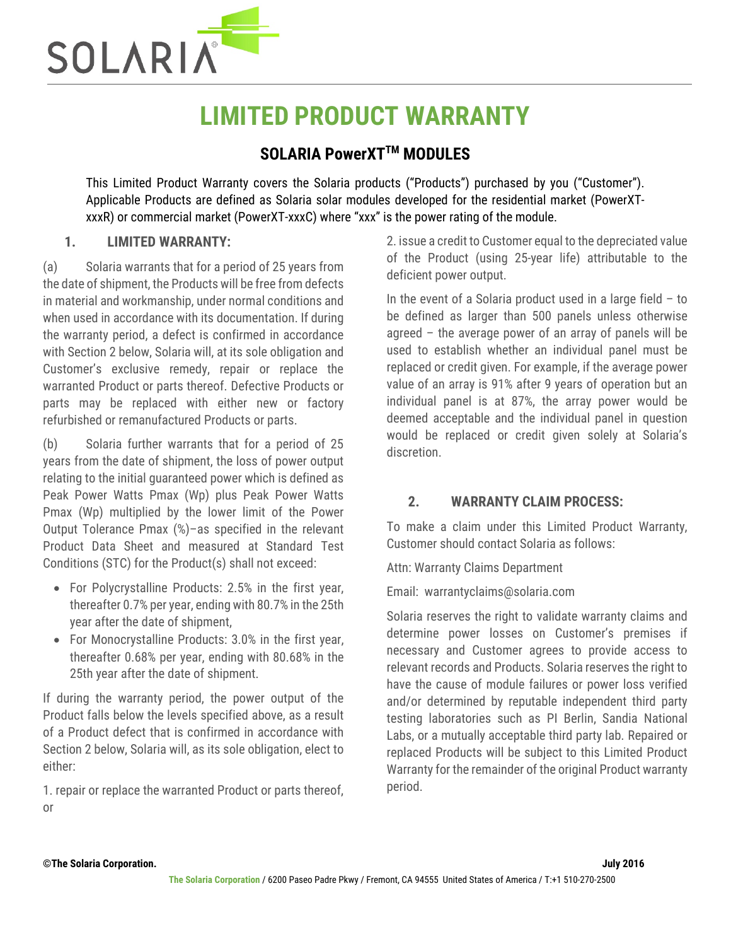

# **LIMITED PRODUCT WARRANTY**

## **SOLARIA PowerXTTM MODULES**

This Limited Product Warranty covers the Solaria products ("Products") purchased by you ("Customer"). Applicable Products are defined as Solaria solar modules developed for the residential market (PowerXTxxxR) or commercial market (PowerXT-xxxC) where "xxx" is the power rating of the module.

### **1. LIMITED WARRANTY:**

(a) Solaria warrants that for a period of 25 years from the date of shipment, the Products will be free from defects in material and workmanship, under normal conditions and when used in accordance with its documentation. If during the warranty period, a defect is confirmed in accordance with Section 2 below, Solaria will, at its sole obligation and Customer's exclusive remedy, repair or replace the warranted Product or parts thereof. Defective Products or parts may be replaced with either new or factory refurbished or remanufactured Products or parts.

(b) Solaria further warrants that for a period of 25 years from the date of shipment, the loss of power output relating to the initial guaranteed power which is defined as Peak Power Watts Pmax (Wp) plus Peak Power Watts Pmax (Wp) multiplied by the lower limit of the Power Output Tolerance Pmax (%)–as specified in the relevant Product Data Sheet and measured at Standard Test Conditions (STC) for the Product(s) shall not exceed:

- For Polycrystalline Products: 2.5% in the first year, thereafter 0.7% per year, ending with 80.7% in the 25th year after the date of shipment,
- For Monocrystalline Products: 3.0% in the first year, thereafter 0.68% per year, ending with 80.68% in the 25th year after the date of shipment.

If during the warranty period, the power output of the Product falls below the levels specified above, as a result of a Product defect that is confirmed in accordance with Section 2 below, Solaria will, as its sole obligation, elect to either:

1. repair or replace the warranted Product or parts thereof, or

2. issue a credit to Customer equal to the depreciated value of the Product (using 25-year life) attributable to the deficient power output.

In the event of a Solaria product used in a large field  $-$  to be defined as larger than 500 panels unless otherwise agreed – the average power of an array of panels will be used to establish whether an individual panel must be replaced or credit given. For example, if the average power value of an array is 91% after 9 years of operation but an individual panel is at 87%, the array power would be deemed acceptable and the individual panel in question would be replaced or credit given solely at Solaria's discretion.

## **2. WARRANTY CLAIM PROCESS:**

To make a claim under this Limited Product Warranty, Customer should contact Solaria as follows:

Attn: Warranty Claims Department

Email: warrantyclaims@solaria.com

Solaria reserves the right to validate warranty claims and determine power losses on Customer's premises if necessary and Customer agrees to provide access to relevant records and Products. Solaria reserves the right to have the cause of module failures or power loss verified and/or determined by reputable independent third party testing laboratories such as PI Berlin, Sandia National Labs, or a mutually acceptable third party lab. Repaired or replaced Products will be subject to this Limited Product Warranty for the remainder of the original Product warranty period.